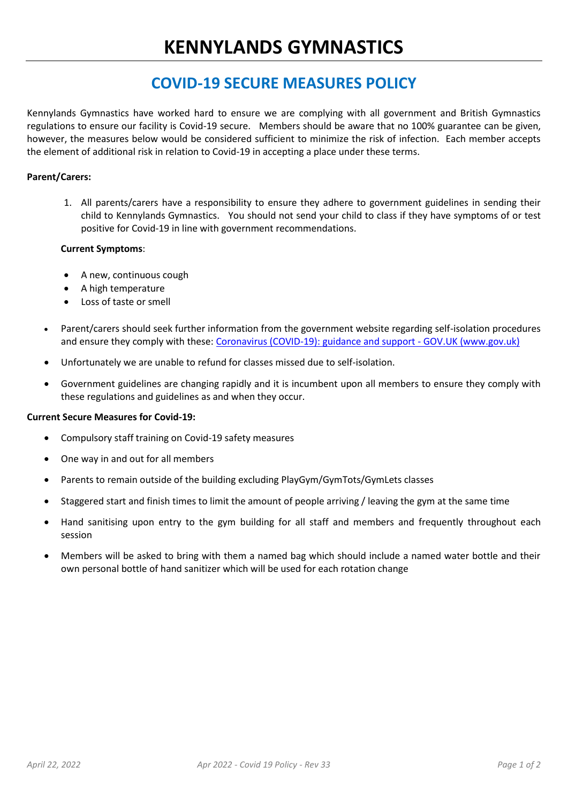## **COVID-19 SECURE MEASURES POLICY**

Kennylands Gymnastics have worked hard to ensure we are complying with all government and British Gymnastics regulations to ensure our facility is Covid-19 secure. Members should be aware that no 100% guarantee can be given, however, the measures below would be considered sufficient to minimize the risk of infection. Each member accepts the element of additional risk in relation to Covid-19 in accepting a place under these terms.

### **Parent/Carers:**

1. All parents/carers have a responsibility to ensure they adhere to government guidelines in sending their child to Kennylands Gymnastics. You should not send your child to class if they have symptoms of or test positive for Covid-19 in line with government recommendations.

#### **Current Symptoms**:

- A new, continuous cough
- A high temperature
- Loss of taste or smell
- Parent/carers should seek further information from the government website regarding self-isolation procedures and ensure they comply with these: [Coronavirus \(COVID-19\): guidance and support -](https://www.gov.uk/coronavirus) GOV.UK (www.gov.uk)
- Unfortunately we are unable to refund for classes missed due to self-isolation.
- Government guidelines are changing rapidly and it is incumbent upon all members to ensure they comply with these regulations and guidelines as and when they occur.

#### **Current Secure Measures for Covid-19:**

- Compulsory staff training on Covid-19 safety measures
- One way in and out for all members
- Parents to remain outside of the building excluding PlayGym/GymTots/GymLets classes
- Staggered start and finish times to limit the amount of people arriving / leaving the gym at the same time
- Hand sanitising upon entry to the gym building for all staff and members and frequently throughout each session
- Members will be asked to bring with them a named bag which should include a named water bottle and their own personal bottle of hand sanitizer which will be used for each rotation change